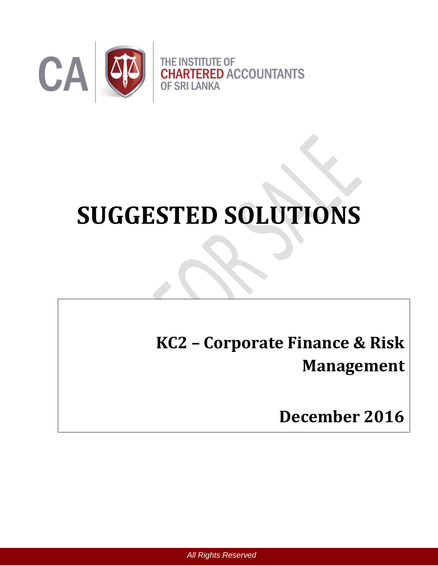

# **SUGGESTED SOLUTIONS**

**KC2 – Corporate Finance & Risk Management**

**December 2016**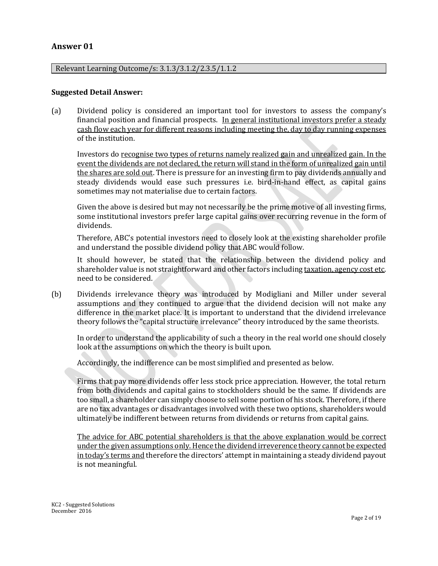#### **Answer 01**

#### Relevant Learning Outcome/s: 3.1.3/3.1.2/2.3.5/1.1.2

#### **Suggested Detail Answer:**

(a) Dividend policy is considered an important tool for investors to assess the company's financial position and financial prospects. In general institutional investors prefer a steady cash flow each year for different reasons including meeting the, day to day running expenses of the institution.

Investors do recognise two types of returns namely realized gain and unrealized gain. In the event the dividends are not declared, the return will stand in the form of unrealized gain until the shares are sold out. There is pressure for an investing firm to pay dividends annually and steady dividends would ease such pressures i.e. bird-in-hand effect, as capital gains sometimes may not materialise due to certain factors.

Given the above is desired but may not necessarily be the prime motive of all investing firms, some institutional investors prefer large capital gains over recurring revenue in the form of dividends.

Therefore, ABC's potential investors need to closely look at the existing shareholder profile and understand the possible dividend policy that ABC would follow.

It should however, be stated that the relationship between the dividend policy and shareholder value is not straightforward and other factors including taxation, agency cost etc. need to be considered.

(b) Dividends irrelevance theory was introduced by Modigliani and Miller under several assumptions and they continued to argue that the dividend decision will not make any difference in the market place. It is important to understand that the dividend irrelevance theory follows the "capital structure irrelevance" theory introduced by the same theorists.

In order to understand the applicability of such a theory in the real world one should closely look at the assumptions on which the theory is built upon.

Accordingly, the indifference can be most simplified and presented as below.

Firms that pay more dividends offer less stock price appreciation. However, the total return from both dividends and capital gains to stockholders should be the same. If dividends are too small, a shareholder can simply choose to sell some portion of his stock. Therefore, if there are no tax advantages or disadvantages involved with these two options, shareholders would ultimately be indifferent between returns from dividends or returns from capital gains.

The advice for ABC potential shareholders is that the above explanation would be correct under the given assumptions only. Hence the dividend irreverence theory cannot be expected in today's terms and therefore the directors' attempt in maintaining a steady dividend payout is not meaningful.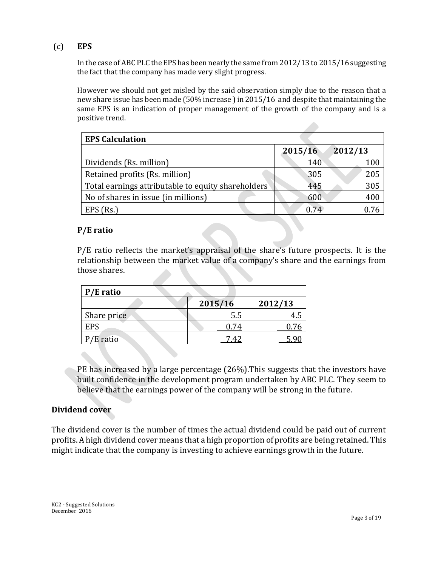## (c) **EPS**

In the case of ABC PLC the EPS has been nearly the same from 2012/13 to 2015/16 suggesting the fact that the company has made very slight progress.

However we should not get misled by the said observation simply due to the reason that a new share issue has been made (50% increase ) in 2015/16 and despite that maintaining the same EPS is an indication of proper management of the growth of the company and is a positive trend.

| <b>EPS Calculation</b>                             |         |         |
|----------------------------------------------------|---------|---------|
|                                                    | 2015/16 | 2012/13 |
| Dividends (Rs. million)                            | 140     | 100     |
| Retained profits (Rs. million)                     | 305     | 205     |
| Total earnings attributable to equity shareholders | 445     | 305     |
| No of shares in issue (in millions)                | 600     | 400     |
| $EPS$ (Rs.)                                        | 0.74    |         |

## **P/E ratio**

P/E ratio reflects the market's appraisal of the share's future prospects. It is the relationship between the market value of a company's share and the earnings from those shares.

| P/E ratio   |         |         |
|-------------|---------|---------|
|             | 2015/16 | 2012/13 |
| Share price | 5.5     |         |
| <b>EPS</b>  |         |         |
| $P/E$ ratio |         |         |

PE has increased by a large percentage (26%).This suggests that the investors have built confidence in the development program undertaken by ABC PLC. They seem to believe that the earnings power of the company will be strong in the future.

#### **Dividend cover**

The dividend cover is the number of times the actual dividend could be paid out of current profits. A high dividend cover means that a high proportion of profits are being retained. This might indicate that the company is investing to achieve earnings growth in the future.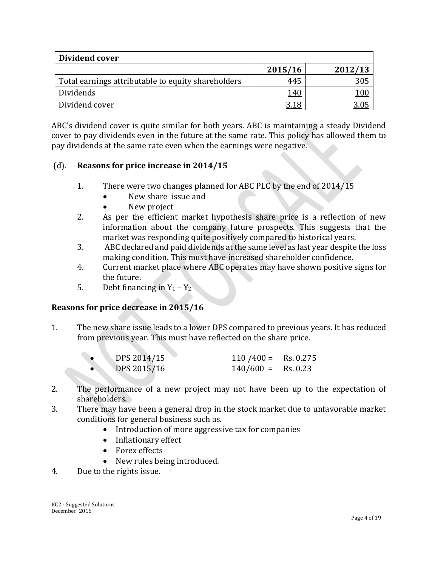| Dividend cover                                     |             |         |
|----------------------------------------------------|-------------|---------|
|                                                    | 2015/16     | 2012/13 |
| Total earnings attributable to equity shareholders | 445         | 305     |
| Dividends                                          | 140         | 100     |
| Dividend cover                                     | <u>3.18</u> |         |

ABC's dividend cover is quite similar for both years. ABC is maintaining a steady Dividend cover to pay dividends even in the future at the same rate. This policy has allowed them to pay dividends at the same rate even when the earnings were negative.

## (d). **Reasons for price increase in 2014/15**

- 1. There were two changes planned for ABC PLC by the end of 2014/15
	- New share issue and
	- New project
- 2. As per the efficient market hypothesis share price is a reflection of new information about the company future prospects. This suggests that the market was responding quite positively compared to historical years.
- 3. ABC declared and paid dividends at the same level as last year despite the loss making condition. This must have increased shareholder confidence.
- 4. Current market place where ABC operates may have shown positive signs for the future.
- 5. Debt financing in  $Y_1 Y_2$

## **Reasons for price decrease in 2015/16**

1. The new share issue leads to a lower DPS compared to previous years. It has reduced from previous year. This must have reflected on the share price.

| DPS 2014/15 | $110 / 400 =$ Rs. 0.275 |  |
|-------------|-------------------------|--|
| DPS 2015/16 | $140/600 =$ Rs. 0.23    |  |

- 2. The performance of a new project may not have been up to the expectation of shareholders.
- 3. There may have been a general drop in the stock market due to unfavorable market conditions for general business such as.
	- Introduction of more aggressive tax for companies
	- Inflationary effect
	- Forex effects
	- New rules being introduced.
- 4. Due to the rights issue.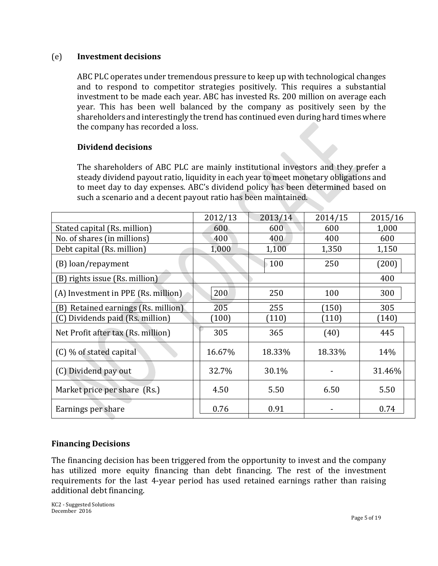#### (e) **Investment decisions**

ABC PLC operates under tremendous pressure to keep up with technological changes and to respond to competitor strategies positively. This requires a substantial investment to be made each year. ABC has invested Rs. 200 million on average each year. This has been well balanced by the company as positively seen by the shareholders and interestingly the trend has continued even during hard times where the company has recorded a loss.

## **Dividend decisions**

The shareholders of ABC PLC are mainly institutional investors and they prefer a steady dividend payout ratio, liquidity in each year to meet monetary obligations and to meet day to day expenses. ABC's dividend policy has been determined based on such a scenario and a decent payout ratio has been maintained.

|                                        | 2012/13 | 2013/14 | 2014/15 | 2015/16 |
|----------------------------------------|---------|---------|---------|---------|
| Stated capital (Rs. million)           | 600     | 600     | 600     | 1,000   |
| No. of shares (in millions)            | 400     | 400     | 400     | 600     |
| Debt capital (Rs. million)             | 1,000   | 1,100   | 1,350   | 1,150   |
| (B) loan/repayment                     |         | 100     | 250     | (200)   |
| (B) rights issue (Rs. million)         |         |         |         | 400     |
| (A) Investment in PPE (Rs. million)    | 200     | 250     | 100     | 300     |
| Retained earnings (Rs. million)<br>(B) | 205     | 255     | (150)   | 305     |
| (C) Dividends paid (Rs. million)       | (100)   | (110)   | (110)   | (140)   |
| Net Profit after tax (Rs. million)     | 305     | 365     | (40)    | 445     |
| (C) % of stated capital                | 16.67%  | 18.33%  | 18.33%  | 14%     |
| (C) Dividend pay out                   | 32.7%   | 30.1%   |         | 31.46%  |
| Market price per share (Rs.)           | 4.50    | 5.50    | 6.50    | 5.50    |
| Earnings per share                     | 0.76    | 0.91    |         | 0.74    |

## **Financing Decisions**

The financing decision has been triggered from the opportunity to invest and the company has utilized more equity financing than debt financing. The rest of the investment requirements for the last 4-year period has used retained earnings rather than raising additional debt financing.

KC2 - Suggested Solutions December 2016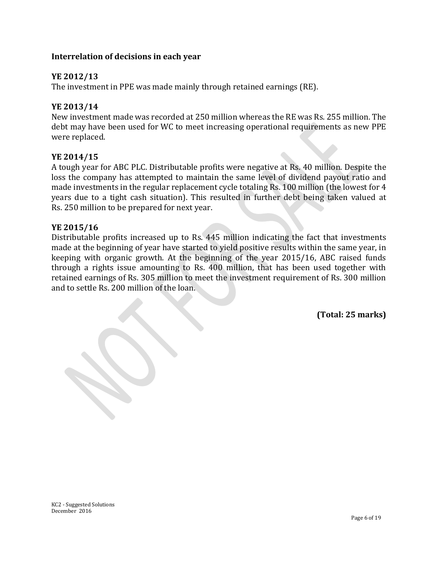## **Interrelation of decisions in each year**

## **YE 2012/13**

The investment in PPE was made mainly through retained earnings (RE).

#### **YE 2013/14**

New investment made was recorded at 250 million whereas the RE was Rs. 255 million. The debt may have been used for WC to meet increasing operational requirements as new PPE were replaced.

#### **YE 2014/15**

A tough year for ABC PLC. Distributable profits were negative at Rs. 40 million. Despite the loss the company has attempted to maintain the same level of dividend payout ratio and made investments in the regular replacement cycle totaling Rs. 100 million (the lowest for 4 years due to a tight cash situation). This resulted in further debt being taken valued at Rs. 250 million to be prepared for next year.

#### **YE 2015/16**

Distributable profits increased up to Rs. 445 million indicating the fact that investments made at the beginning of year have started to yield positive results within the same year, in keeping with organic growth. At the beginning of the year 2015/16, ABC raised funds through a rights issue amounting to Rs. 400 million, that has been used together with retained earnings of Rs. 305 million to meet the investment requirement of Rs. 300 million and to settle Rs. 200 million of the loan.

**(Total: 25 marks)**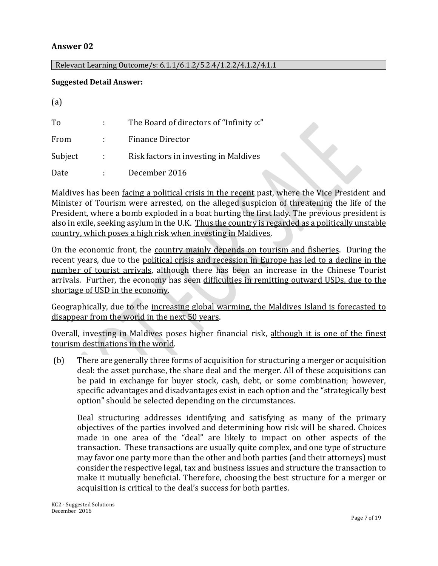## **Answer 02**

 $(a)$ 

#### Relevant Learning Outcome/s: 6.1.1/6.1.2/5.2.4/1.2.2/4.1.2/4.1.1

#### **Suggested Detail Answer:**

| (d)     |                            |                                                 |
|---------|----------------------------|-------------------------------------------------|
| To      |                            | The Board of directors of "Infinity $\propto$ " |
| From    | $\mathcal{L}^{\text{max}}$ | <b>Finance Director</b>                         |
| Subject | $\mathcal{L}^{\text{max}}$ | Risk factors in investing in Maldives           |
| Date    | ÷                          | December 2016                                   |

Maldives has been facing a political crisis in the recent past, where the Vice President and Minister of Tourism were arrested, on the alleged suspicion of threatening the life of the President, where a bomb exploded in a boat hurting the first lady. The previous president is also in exile, seeking asylum in the U.K. Thus the country is regarded as a politically unstable country, which poses a high risk when investing in Maldives.

On the economic front, the country mainly depends on tourism and fisheries. During the recent years, due to the political crisis and recession in Europe has led to a decline in the number of tourist arrivals, although there has been an increase in the Chinese Tourist arrivals. Further, the economy has seen difficulties in remitting outward USDs, due to the shortage of USD in the economy.

Geographically, due to the increasing global warming, the Maldives Island is forecasted to disappear from the world in the next 50 years.

Overall, investing in Maldives poses higher financial risk, although it is one of the finest tourism destinations in the world.

(b) There are generally three forms of acquisition for structuring a merger or acquisition deal: the asset purchase, the share deal and the merger. All of these acquisitions can be paid in exchange for buyer stock, cash, debt, or some combination; however, specific advantages and disadvantages exist in each option and the "strategically best option" should be selected depending on the circumstances.

Deal structuring addresses identifying and satisfying as many of the primary objectives of the parties involved and determining how risk will be shared**.** Choices made in one area of the "deal" are likely to impact on other aspects of the transaction. These transactions are usually quite complex, and one type of structure may favor one party more than the other and both parties (and their attorneys) must consider the respective legal, tax and business issues and structure the transaction to make it mutually beneficial. Therefore, choosing the best structure for a merger or acquisition is critical to the deal's success for both parties.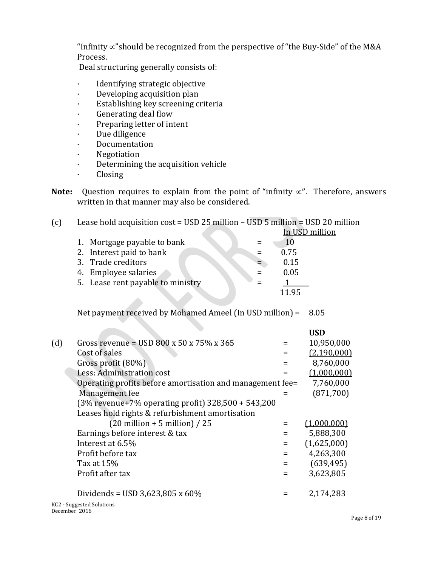"Infinity  $\propto$ "should be recognized from the perspective of "the Buy-Side" of the M&A Process.

Deal structuring generally consists of:

- · Identifying strategic objective
- · Developing acquisition plan
- · Establishing key screening criteria
- · Generating deal flow
- · Preparing letter of intent
- · Due diligence
- · Documentation
- · Negotiation
- · Determining the acquisition vehicle
- · Closing
- **Note:** Question requires to explain from the point of "infinity  $\alpha$ ". Therefore, answers written in that manner may also be considered.

## (c) Lease hold acquisition cost = USD 25 million – USD 5 million = USD 20 million

|                                   | In USD million |
|-----------------------------------|----------------|
| 1. Mortgage payable to bank       |                |
| 2. Interest paid to bank          | 0.75           |
| 3. Trade creditors                | 0.15           |
| 4. Employee salaries              | 0.05           |
| 5. Lease rent payable to ministry |                |
|                                   | 11 95          |

Net payment received by Mohamed Ameel (In USD million) = 8.05

|     |                                                           |     | <b>USD</b>  |
|-----|-----------------------------------------------------------|-----|-------------|
| (d) | Gross revenue = USD 800 x 50 x 75% x 365                  | $=$ | 10,950,000  |
|     | Cost of sales                                             |     | (2,190,000) |
|     | Gross profit (80%)                                        |     | 8,760,000   |
|     | Less: Administration cost                                 |     | (1,000,000) |
|     | Operating profits before amortisation and management fee= |     | 7,760,000   |
|     | Management fee                                            |     | (871,700)   |
|     | $(3\%$ revenue+7% operating profit) $328,500 + 543,200$   |     |             |
|     | Leases hold rights & refurbishment amortisation           |     |             |
|     | $(20 \text{ million} + 5 \text{ million}) / 25$           |     | (1,000,000) |
|     | Earnings before interest & tax                            |     | 5,888,300   |
|     | Interest at 6.5%                                          |     | (1,625,000) |
|     | Profit before tax                                         | $=$ | 4,263,300   |
|     | Tax at 15%                                                | $=$ | (639, 495)  |
|     | Profit after tax                                          |     | 3,623,805   |
|     | Dividends = USD 3,623,805 x 60%                           |     | 2,174,283   |
|     | $VCD$ Currented Colutions                                 |     |             |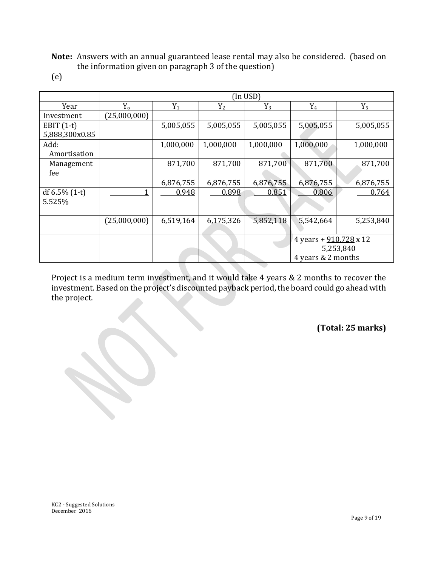**Note:** Answers with an annual guaranteed lease rental may also be considered. (based on the information given on paragraph 3 of the question)

(e)

|                  | (In <b>USD</b> ) |           |           |           |                               |           |
|------------------|------------------|-----------|-----------|-----------|-------------------------------|-----------|
| Year             | $Y_{0}$          | $Y_1$     | $Y_2$     | $Y_3$     | $Y_4$                         | $Y_5$     |
| Investment       | (25,000,000)     |           |           |           |                               |           |
| EBIT $(1-t)$     |                  | 5,005,055 | 5,005,055 | 5,005,055 | 5,005,055                     | 5,005,055 |
| 5,888,300x0.85   |                  |           |           |           |                               |           |
| Add:             |                  | 1,000,000 | 1,000,000 | 1,000,000 | 1,000,000                     | 1,000,000 |
| Amortisation     |                  |           |           |           |                               |           |
| Management       |                  | 871,700   | 871,700   | 871,700   | 871,700                       | 871,700   |
| fee              |                  |           |           |           |                               |           |
|                  |                  | 6,876,755 | 6,876,755 | 6,876,755 | 6,876,755                     | 6,876,755 |
| df $6.5\%$ (1-t) |                  | 0.948     | 0.898     | 0.851     | 0.806                         | 0.764     |
| 5.525%           |                  |           |           |           |                               |           |
|                  |                  |           |           |           |                               |           |
|                  | (25,000,000)     | 6,519,164 | 6,175,326 | 5,852,118 | 5,542,664                     | 5,253,840 |
|                  |                  |           |           |           |                               |           |
|                  |                  |           |           |           | 4 years + $910,728 \times 12$ |           |
|                  |                  |           |           |           |                               | 5,253,840 |
|                  |                  |           |           |           | 4 years & 2 months            |           |

Project is a medium term investment, and it would take 4 years & 2 months to recover the investment. Based on the project's discounted payback period, the board could go ahead with the project.

**(Total: 25 marks)**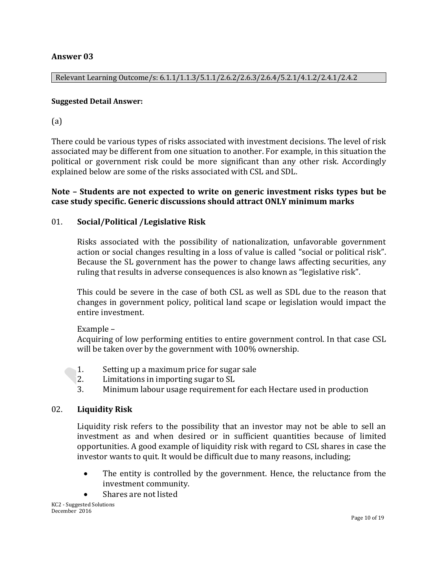## **Answer 03**

Relevant Learning Outcome/s: 6.1.1/1.1.3/5.1.1/2.6.2/2.6.3/2.6.4/5.2.1/4.1.2/2.4.1/2.4.2

#### **Suggested Detail Answer:**

(a)

There could be various types of risks associated with investment decisions. The level of risk associated may be different from one situation to another. For example, in this situation the political or government risk could be more significant than any other risk. Accordingly explained below are some of the risks associated with CSL and SDL.

## **Note – Students are not expected to write on generic investment risks types but be case study specific. Generic discussions should attract ONLY minimum marks**

## 01. **Social/Political /Legislative Risk**

Risks associated with the possibility of nationalization, unfavorable government action or social changes resulting in a loss of value is called "social or [political risk](http://www.investopedia.com/terms/p/politicalrisk.asp)". Because the SL government has the power to change laws affecting securities, any ruling that results in adverse consequences is also known as "legislative risk".

This could be severe in the case of both CSL as well as SDL due to the reason that changes in government policy, political land scape or legislation would impact the entire investment.

#### Example –

Acquiring of low performing entities to entire government control. In that case CSL will be taken over by the government with 100% ownership.

- 1. Setting up a maximum price for sugar sale
- 2. Limitations in importing sugar to SL
- 3. Minimum labour usage requirement for each Hectare used in production

#### 02. **Liquidity Risk**

Liquidity risk refers to the possibility that an investor may not be able to sell an investment as and when desired or in sufficient quantities because of limited opportunities. A good example of liquidity risk with regard to CSL shares in case the investor wants to quit. It would be difficult due to many reasons, including;

- The entity is controlled by the government. Hence, the reluctance from the investment community.
- Shares are not listed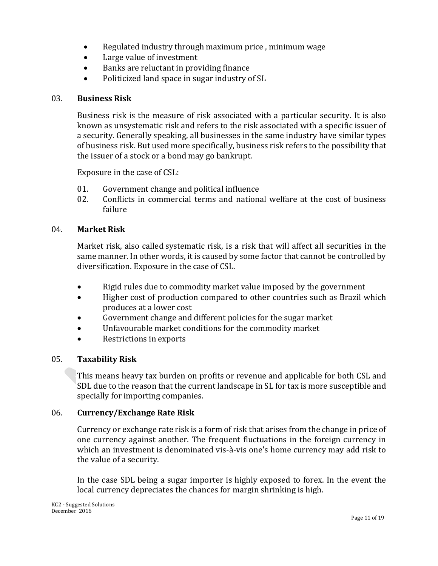- Regulated industry through maximum price , minimum wage
- Large value of investment
- Banks are reluctant in providing finance
- Politicized land space in sugar industry of SL

#### 03. **Business Risk**

Business risk is the measure of risk associated with a particular security. It is also known as [unsystematic risk](http://www.investopedia.com/terms/u/unsystematicrisk.asp) and refers to the risk associated with a specific issuer of a security. Generally speaking, all businesses in the same industry have similar types of business risk. But used more specifically, business risk refers to the possibility that the issuer of a [stock](http://www.investopedia.com/terms/s/stock.asp) or a bond may go bankrupt.

Exposure in the case of CSL:

- 01. Government change and political influence
- 02. Conflicts in commercial terms and national welfare at the cost of business failure

#### 04. **Market Risk**

Market risk, also called [systematic risk,](http://www.investopedia.com/terms/s/systematicrisk.asp) is a risk that will affect all securities in the same manner. In other words, it is caused by some factor that cannot be controlled by diversification. Exposure in the case of CSL.

- Rigid rules due to commodity market value imposed by the government
- Higher cost of production compared to other countries such as Brazil which produces at a lower cost
- Government change and different policies for the sugar market
- Unfavourable market conditions for the commodity market
- Restrictions in exports

#### 05. **Taxability Risk**

This means heavy tax burden on profits or revenue and applicable for both CSL and SDL due to the reason that the current landscape in SL for tax is more susceptible and specially for importing companies.

#### 06. **Currency/Exchange Rate Risk**

Currency or exchange rate risk is a form of risk that arises from the change in price of one currency against another. The frequent fluctuations in the foreign currency in which an investment is denominated vis-à-vis one's home currency may add risk to the value of a security.

In the case SDL being a sugar importer is highly exposed to forex. In the event the local currency depreciates the chances for margin shrinking is high.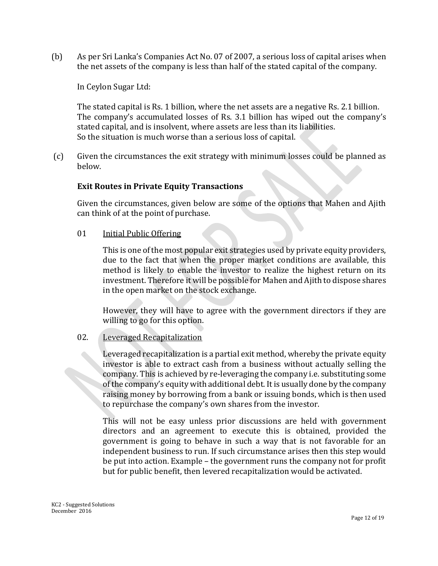(b) As per Sri Lanka's Companies Act No. 07 of 2007, a serious loss of capital arises when the net assets of the company is less than half of the stated capital of the company.

In Ceylon Sugar Ltd:

The stated capital is Rs. 1 billion, where the net assets are a negative Rs. 2.1 billion. The company's accumulated losses of Rs. 3.1 billion has wiped out the company's stated capital, and is insolvent, where assets are less than its liabilities. So the situation is much worse than a serious loss of capital.

(c) Given the circumstances the exit strategy with minimum losses could be planned as below.

#### **Exit Routes in Private Equity Transactions**

Given the circumstances, given below are some of the options that Mahen and Ajith can think of at the point of purchase.

01 Initial Public Offering

This is one of the most popular exit strategies used by private equity providers, due to the fact that when the proper market conditions are available, this method is likely to enable the investor to realize the highest return on its investment. Therefore it will be possible for Mahen and Ajith to dispose shares in the open market on the stock exchange.

However, they will have to agree with the government directors if they are willing to go for this option.

#### 02. Leveraged Recapitalization

Leveraged recapitalization is a partial exit method, whereby the private equity investor is able to extract cash from a business without actually selling the company. This is achieved by re-leveraging the company i.e. substituting some of the company's equity with additional debt. It is usually done by the company raising money by borrowing from a bank or issuing bonds, which is then used to repurchase the company's own shares from the investor.

This will not be easy unless prior discussions are held with government directors and an agreement to execute this is obtained, provided the government is going to behave in such a way that is not favorable for an independent business to run. If such circumstance arises then this step would be put into action. Example – the government runs the company not for profit but for public benefit, then levered recapitalization would be activated.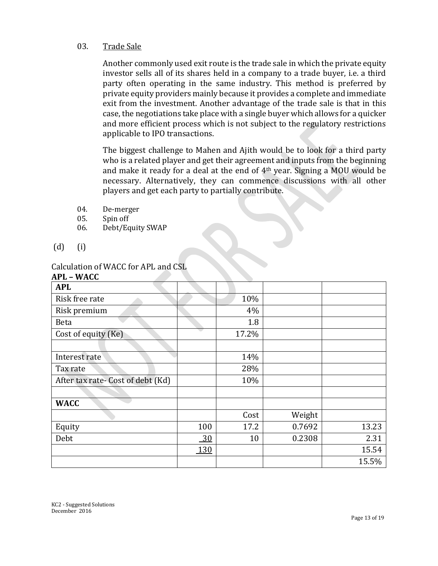#### 03. Trade Sale

Another commonly used exit route is the trade sale in which the private equity investor sells all of its shares held in a company to a trade buyer, i.e. a third party often operating in the same industry. This method is preferred by private equity providers mainly because it provides a complete and immediate exit from the investment. Another advantage of the trade sale is that in this case, the negotiations take place with a single buyer which allows for a quicker and more efficient process which is not subject to the regulatory restrictions applicable to IPO transactions.

The biggest challenge to Mahen and Ajith would be to look for a third party who is a related player and get their agreement and inputs from the beginning and make it ready for a deal at the end of 4th year. Signing a MOU would be necessary. Alternatively, they can commence discussions with all other players and get each party to partially contribute.

- 04. De-merger
- 05. Spin off
- 06. Debt/Equity SWAP
- (d) (i)

#### Calculation of WACC for APL and CSL

| <b>APL - WACC</b>                 |     |       |        |       |
|-----------------------------------|-----|-------|--------|-------|
| <b>APL</b>                        |     |       |        |       |
| Risk free rate                    |     | 10%   |        |       |
| Risk premium                      |     | 4%    |        |       |
| <b>Beta</b>                       |     | 1.8   |        |       |
| Cost of equity (Ke)               |     | 17.2% |        |       |
|                                   |     |       |        |       |
| Interest rate                     |     | 14%   |        |       |
| Tax rate                          |     | 28%   |        |       |
| After tax rate- Cost of debt (Kd) |     | 10%   |        |       |
|                                   |     |       |        |       |
| <b>WACC</b>                       |     |       |        |       |
|                                   |     | Cost  | Weight |       |
| Equity                            | 100 | 17.2  | 0.7692 | 13.23 |
| Debt                              | 30  | 10    | 0.2308 | 2.31  |
|                                   | 130 |       |        | 15.54 |
|                                   |     |       |        | 15.5% |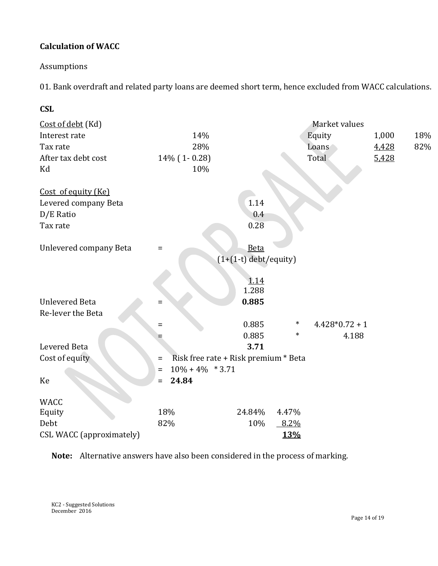## **Calculation of WACC**

## Assumptions

01. Bank overdraft and related party loans are deemed short term, hence excluded from WACC calculations.

| <b>CSL</b>                      |                                 |                                      |        |                |       |     |
|---------------------------------|---------------------------------|--------------------------------------|--------|----------------|-------|-----|
| Cost of debt (Kd)               |                                 |                                      |        | Market values  |       |     |
| Interest rate                   | 14%                             |                                      |        | Equity         | 1,000 | 18% |
| Tax rate                        | 28%                             |                                      |        | Loans          | 4,428 | 82% |
| After tax debt cost             | 14% (1-0.28)                    |                                      |        | Total          | 5,428 |     |
| Kd                              | 10%                             |                                      |        |                |       |     |
| Cost of equity (Ke)             |                                 |                                      |        |                |       |     |
| Levered company Beta            |                                 | 1.14                                 |        |                |       |     |
| D/E Ratio                       |                                 | 0.4                                  |        |                |       |     |
| Tax rate                        |                                 | 0.28                                 |        |                |       |     |
| Unlevered company Beta          | $\equiv$                        | Beta                                 |        |                |       |     |
|                                 |                                 | $(1+(1-t)$ debt/equity)              |        |                |       |     |
|                                 |                                 | 1.14                                 |        |                |       |     |
|                                 |                                 | 1.288                                |        |                |       |     |
| <b>Unlevered Beta</b>           | $=$                             | 0.885                                |        |                |       |     |
| Re-lever the Beta               |                                 |                                      |        |                |       |     |
|                                 | $=$                             | 0.885                                | $\ast$ | $4.428*0.72+1$ |       |     |
|                                 |                                 | 0.885                                | $\ast$ | 4.188          |       |     |
| Levered Beta                    |                                 | 3.71                                 |        |                |       |     |
| Cost of equity                  | $\qquad \qquad =$               | Risk free rate + Risk premium * Beta |        |                |       |     |
|                                 | $10\% + 4\% * 3.71$<br>$\equiv$ |                                      |        |                |       |     |
| Ke                              | 24.84<br>$=$                    |                                      |        |                |       |     |
| <b>WACC</b>                     |                                 |                                      |        |                |       |     |
| Equity                          | 18%                             | 24.84%                               | 4.47%  |                |       |     |
| Debt                            | 82%                             | 10%                                  | 8.2%   |                |       |     |
| <b>CSL WACC</b> (approximately) |                                 |                                      | 13%    |                |       |     |

**Note:** Alternative answers have also been considered in the process of marking.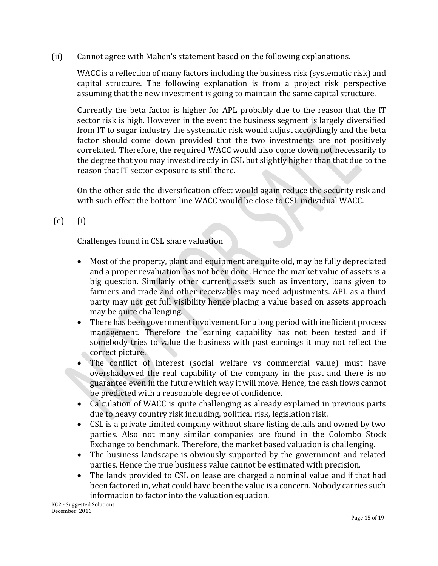(ii) Cannot agree with Mahen's statement based on the following explanations.

WACC is a reflection of many factors including the business risk (systematic risk) and capital structure. The following explanation is from a project risk perspective assuming that the new investment is going to maintain the same capital structure.

Currently the beta factor is higher for APL probably due to the reason that the IT sector risk is high. However in the event the business segment is largely diversified from IT to sugar industry the systematic risk would adjust accordingly and the beta factor should come down provided that the two investments are not positively correlated. Therefore, the required WACC would also come down not necessarily to the degree that you may invest directly in CSL but slightly higher than that due to the reason that IT sector exposure is still there.

On the other side the diversification effect would again reduce the security risk and with such effect the bottom line WACC would be close to CSL individual WACC.

(e) (i)

Challenges found in CSL share valuation

- Most of the property, plant and equipment are quite old, may be fully depreciated and a proper revaluation has not been done. Hence the market value of assets is a big question. Similarly other current assets such as inventory, loans given to farmers and trade and other receivables may need adjustments. APL as a third party may not get full visibility hence placing a value based on assets approach may be quite challenging.
- There has been government involvement for a long period with inefficient process management. Therefore the earning capability has not been tested and if somebody tries to value the business with past earnings it may not reflect the correct picture.
- The conflict of interest (social welfare vs commercial value) must have overshadowed the real capability of the company in the past and there is no guarantee even in the future which way it will move. Hence, the cash flows cannot be predicted with a reasonable degree of confidence.
- Calculation of WACC is quite challenging as already explained in previous parts due to heavy country risk including, political risk, legislation risk.
- CSL is a private limited company without share listing details and owned by two parties. Also not many similar companies are found in the Colombo Stock Exchange to benchmark. Therefore, the market based valuation is challenging.
- The business landscape is obviously supported by the government and related parties. Hence the true business value cannot be estimated with precision.
- The lands provided to CSL on lease are charged a nominal value and if that had been factored in, what could have been the value is a concern. Nobody carries such information to factor into the valuation equation.

KC2 - Suggested Solutions December 2016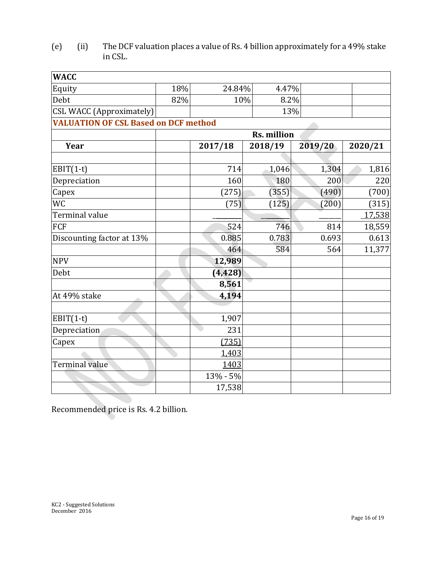| (e) | (ii) | The DCF valuation places a value of Rs. 4 billion approximately for a 49% stake |
|-----|------|---------------------------------------------------------------------------------|
|     |      | in CSL.                                                                         |

| 18%                             |                    |                                                      |               |                      |  |  |
|---------------------------------|--------------------|------------------------------------------------------|---------------|----------------------|--|--|
| 82%                             |                    |                                                      |               |                      |  |  |
| <b>CSL WACC (Approximately)</b> |                    |                                                      |               |                      |  |  |
|                                 |                    |                                                      |               |                      |  |  |
|                                 | <b>Rs. million</b> |                                                      |               |                      |  |  |
|                                 | 2017/18            | 2018/19                                              | 2019/20       | 2020/21              |  |  |
|                                 | 714                | 1,046                                                | 1,304         | 1,816                |  |  |
|                                 | 160                | 180                                                  | 200           | 220                  |  |  |
|                                 | (275)              | (355)                                                | (490)         | (700)                |  |  |
|                                 | (75)               | (125)                                                | (200)         | (315)                |  |  |
|                                 |                    |                                                      |               | 17,538               |  |  |
|                                 | 524                | 746                                                  | 814           | 18,559               |  |  |
|                                 | 0.885              | 0.783                                                | 0.693         | 0.613                |  |  |
|                                 | 464                | 584                                                  | 564           | 11,377               |  |  |
|                                 | 12,989             |                                                      |               |                      |  |  |
|                                 | (4, 428)           |                                                      |               |                      |  |  |
|                                 | 8,561              |                                                      |               |                      |  |  |
|                                 | 4,194              |                                                      |               |                      |  |  |
|                                 |                    |                                                      |               |                      |  |  |
|                                 | 231                |                                                      |               |                      |  |  |
|                                 | (735)              |                                                      |               |                      |  |  |
|                                 | 1,403              |                                                      |               |                      |  |  |
|                                 | 1403               |                                                      |               |                      |  |  |
|                                 | 13% - 5%           |                                                      |               |                      |  |  |
|                                 | 17,538             |                                                      |               |                      |  |  |
|                                 |                    | <b>VALUATION OF CSL Based on DCF method</b><br>1,907 | 24.84%<br>10% | 4.47%<br>8.2%<br>13% |  |  |

Recommended price is Rs. 4.2 billion.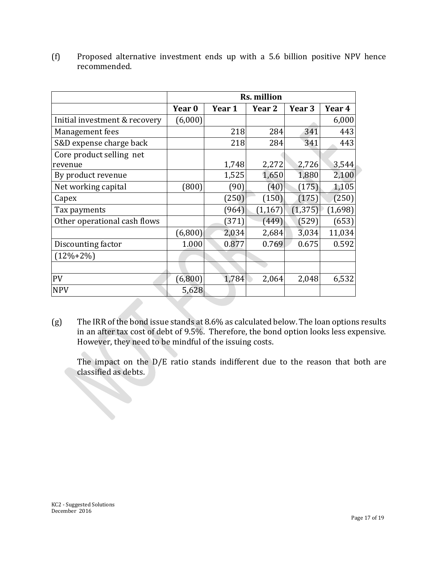|                               | <b>Rs. million</b> |        |                   |          |         |  |
|-------------------------------|--------------------|--------|-------------------|----------|---------|--|
|                               | Year <sub>0</sub>  | Year 1 | Year <sub>2</sub> | Year 3   | Year 4  |  |
| Initial investment & recovery | (6,000)            |        |                   |          | 6,000   |  |
| Management fees               |                    | 218    | 284               | 341      | 443     |  |
| S&D expense charge back       |                    | 218    | 284               | 341      | 443     |  |
| Core product selling net      |                    |        |                   |          |         |  |
| revenue                       |                    | 1,748  | 2,272             | 2,726    | 3,544   |  |
| By product revenue            |                    | 1,525  | 1,650             | 1,880    | 2,100   |  |
| Net working capital           | (800)              | (90)   | (40)              | (175)    | 1,105   |  |
| Capex                         |                    | (250)  | (150)             | (175)    | (250)   |  |
| Tax payments                  |                    | (964)  | (1, 167)          | (1, 375) | (1,698) |  |
| Other operational cash flows  |                    | (371)  | (449)             | (529)    | (653)   |  |
|                               | (6,800)            | 2,034  | 2,684             | 3,034    | 11,034  |  |
| Discounting factor            | 1.000              | 0.877  | 0.769             | 0.675    | 0.592   |  |
| $(12\% + 2\%)$                |                    |        |                   |          |         |  |
|                               |                    |        |                   |          |         |  |
| PV                            | (6,800)            | 1,784  | 2,064             | 2,048    | 6,532   |  |
| <b>NPV</b>                    | 5,628              |        |                   |          |         |  |

(f) Proposed alternative investment ends up with a 5.6 billion positive NPV hence recommended.

(g) The IRR of the bond issue stands at 8.6% as calculated below. The loan options results in an after tax cost of debt of 9.5%. Therefore, the bond option looks less expensive. However, they need to be mindful of the issuing costs.

The impact on the D/E ratio stands indifferent due to the reason that both are classified as debts.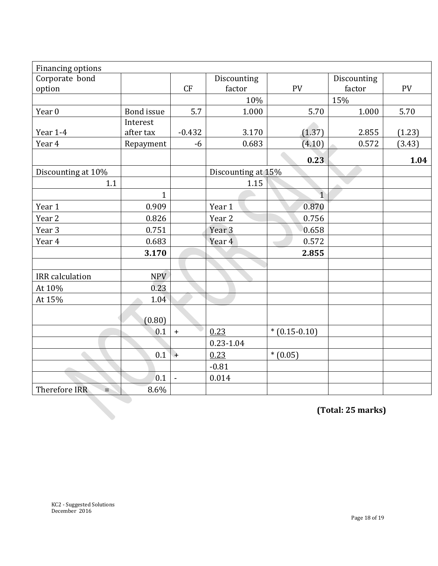| Financing options      |              |                |                    |                |             |        |  |  |
|------------------------|--------------|----------------|--------------------|----------------|-------------|--------|--|--|
| Corporate bond         |              |                | Discounting        |                | Discounting |        |  |  |
| option                 |              | CF             | factor             | PV             | factor      | PV     |  |  |
|                        |              |                | 10%                |                | 15%         |        |  |  |
| Year 0                 | Bond issue   | 5.7            | 1.000              | 5.70           | 1.000       | 5.70   |  |  |
|                        | Interest     |                |                    |                |             |        |  |  |
| Year 1-4               | after tax    | $-0.432$       | 3.170              | (1.37)         | 2.855       | (1.23) |  |  |
| Year 4                 | Repayment    | -6             | 0.683              | (4.10)         | 0.572       | (3.43) |  |  |
|                        |              |                |                    | 0.23           |             | 1.04   |  |  |
| Discounting at 10%     |              |                | Discounting at 15% |                |             |        |  |  |
| 1.1                    |              |                | 1.15               |                |             |        |  |  |
|                        | $\mathbf{1}$ |                |                    | $\overline{1}$ |             |        |  |  |
| Year 1                 | 0.909        |                | Year 1             | 0.870          |             |        |  |  |
| Year <sub>2</sub>      | 0.826        |                | Year <sub>2</sub>  | 0.756          |             |        |  |  |
| Year 3                 | 0.751        |                | Year <sub>3</sub>  | 0.658          |             |        |  |  |
| Year 4                 | 0.683        |                | Year 4             | 0.572          |             |        |  |  |
|                        | 3.170        |                |                    | 2.855          |             |        |  |  |
|                        |              |                |                    |                |             |        |  |  |
| <b>IRR</b> calculation | NPV          |                |                    |                |             |        |  |  |
| At 10%                 | 0.23         |                |                    |                |             |        |  |  |
| At 15%                 | 1.04         |                |                    |                |             |        |  |  |
|                        | (0.80)       |                |                    |                |             |        |  |  |
|                        | 0.1          | $+$            | 0.23               | $*(0.15-0.10)$ |             |        |  |  |
|                        |              |                | $0.23 - 1.04$      |                |             |        |  |  |
|                        | 0.1          | $\overline{+}$ | 0.23               | $*(0.05)$      |             |        |  |  |
|                        |              |                | $-0.81$            |                |             |        |  |  |
|                        | 0.1          | $\sim$         | 0.014              |                |             |        |  |  |
| Therefore IRR<br>È.    | 8.6%         |                |                    |                |             |        |  |  |
| (Total: 25 marks)      |              |                |                    |                |             |        |  |  |
|                        |              |                |                    |                |             |        |  |  |